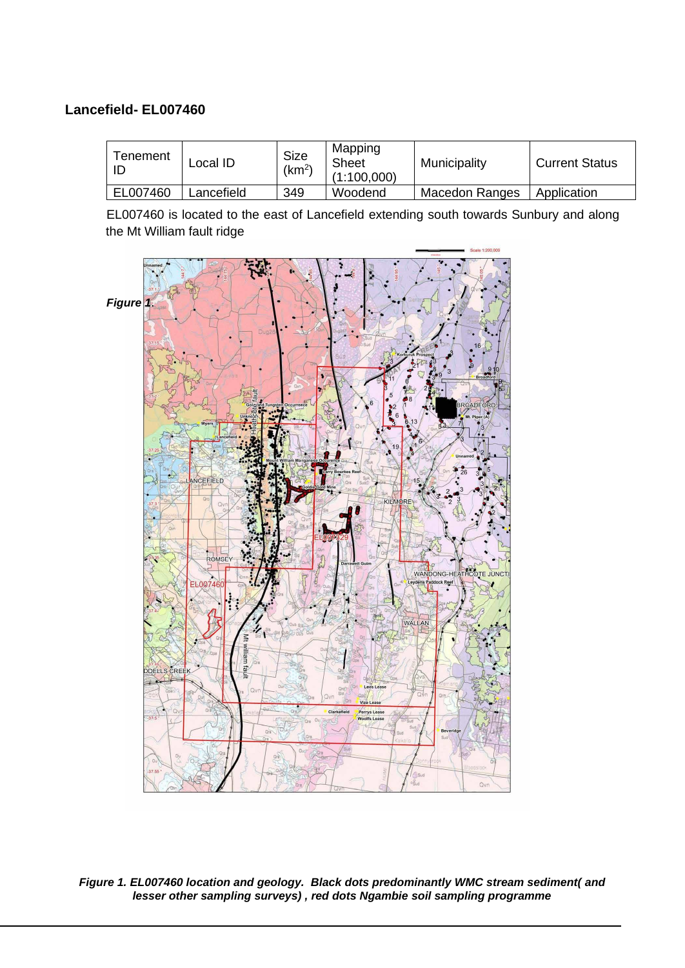## **Lancefield- EL007460**

| Tenement<br>ID | Local ID   | <b>Size</b><br>(km <sup>2</sup> ) | Mapping<br><b>Sheet</b><br>(1:100,000) | Municipality   | <b>Current Status</b> |
|----------------|------------|-----------------------------------|----------------------------------------|----------------|-----------------------|
| EL007460       | Lancefield | 349                               | Woodend                                | Macedon Ranges | Application           |

EL007460 is located to the east of Lancefield extending south towards Sunbury and along the Mt William fault ridge



<span id="page-0-0"></span>*Figure 1. EL007460 location and geology. Black dots predominantly WMC stream sediment( and lesser other sampling surveys) , red dots Ngambie soil sampling programme*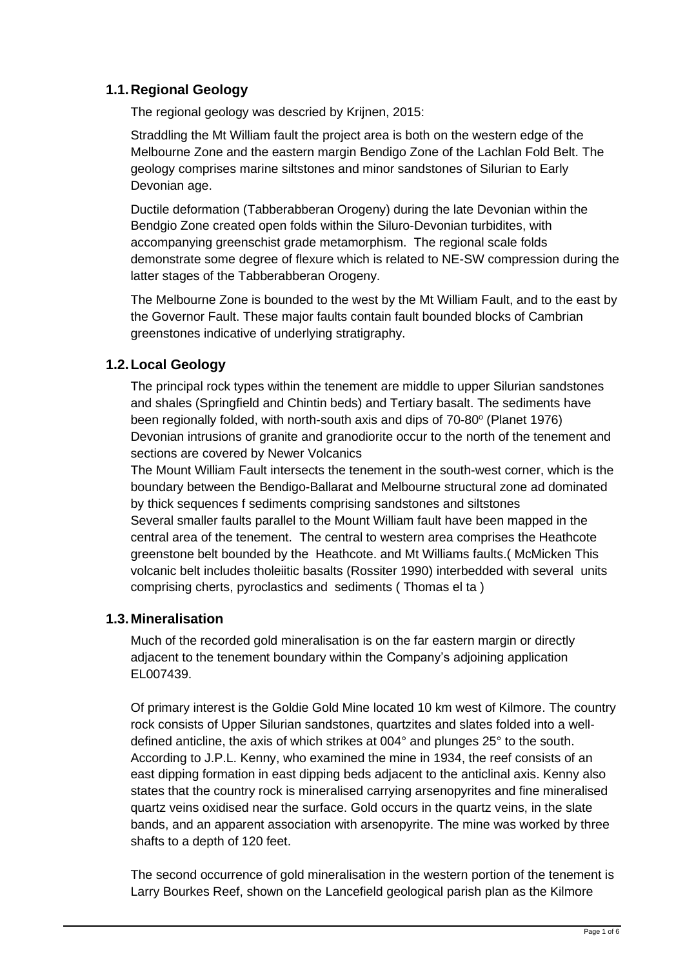# **1.1.Regional Geology**

The regional geology was descried by Krijnen, 2015:

Straddling the Mt William fault the project area is both on the western edge of the Melbourne Zone and the eastern margin Bendigo Zone of the Lachlan Fold Belt. The geology comprises marine siltstones and minor sandstones of Silurian to Early Devonian age.

Ductile deformation (Tabberabberan Orogeny) during the late Devonian within the Bendgio Zone created open folds within the Siluro-Devonian turbidites, with accompanying greenschist grade metamorphism. The regional scale folds demonstrate some degree of flexure which is related to NE-SW compression during the latter stages of the Tabberabberan Orogeny.

The Melbourne Zone is bounded to the west by the Mt William Fault, and to the east by the Governor Fault. These major faults contain fault bounded blocks of Cambrian greenstones indicative of underlying stratigraphy.

## **1.2.Local Geology**

The principal rock types within the tenement are middle to upper Silurian sandstones and shales (Springfield and Chintin beds) and Tertiary basalt. The sediments have been regionally folded, with north-south axis and dips of 70-80° (Planet 1976) Devonian intrusions of granite and granodiorite occur to the north of the tenement and sections are covered by Newer Volcanics

The Mount William Fault intersects the tenement in the south-west corner, which is the boundary between the Bendigo-Ballarat and Melbourne structural zone ad dominated by thick sequences f sediments comprising sandstones and siltstones Several smaller faults parallel to the Mount William fault have been mapped in the central area of the tenement. The central to western area comprises the Heathcote greenstone belt bounded by the Heathcote. and Mt Williams faults.( McMicken This volcanic belt includes tholeiitic basalts (Rossiter 1990) interbedded with several units comprising cherts, pyroclastics and sediments ( Thomas el ta )

### **1.3.Mineralisation**

Much of the recorded gold mineralisation is on the far eastern margin or directly adjacent to the tenement boundary within the Company's adjoining application EL007439.

Of primary interest is the Goldie Gold Mine located 10 km west of Kilmore. The country rock consists of Upper Silurian sandstones, quartzites and slates folded into a welldefined anticline, the axis of which strikes at 004° and plunges 25° to the south. According to J.P.L. Kenny, who examined the mine in 1934, the reef consists of an east dipping formation in east dipping beds adjacent to the anticlinal axis. Kenny also states that the country rock is mineralised carrying arsenopyrites and fine mineralised quartz veins oxidised near the surface. Gold occurs in the quartz veins, in the slate bands, and an apparent association with arsenopyrite. The mine was worked by three shafts to a depth of 120 feet.

The second occurrence of gold mineralisation in the western portion of the tenement is Larry Bourkes Reef, shown on the Lancefield geological parish plan as the Kilmore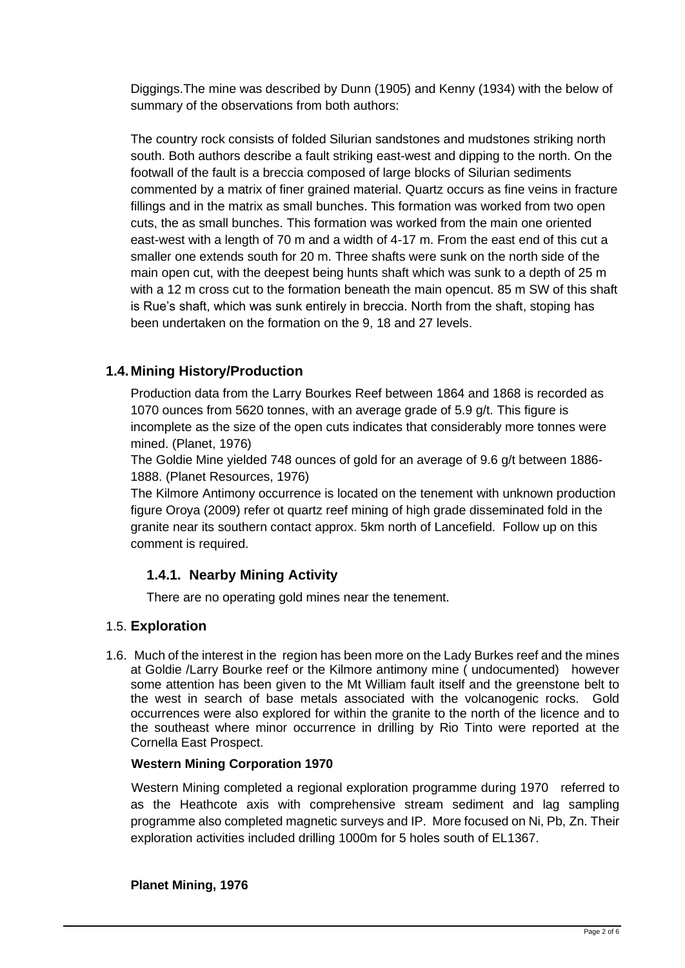Diggings.The mine was described by Dunn (1905) and Kenny (1934) with the below of summary of the observations from both authors:

The country rock consists of folded Silurian sandstones and mudstones striking north south. Both authors describe a fault striking east-west and dipping to the north. On the footwall of the fault is a breccia composed of large blocks of Silurian sediments commented by a matrix of finer grained material. Quartz occurs as fine veins in fracture fillings and in the matrix as small bunches. This formation was worked from two open cuts, the as small bunches. This formation was worked from the main one oriented east-west with a length of 70 m and a width of 4-17 m. From the east end of this cut a smaller one extends south for 20 m. Three shafts were sunk on the north side of the main open cut, with the deepest being hunts shaft which was sunk to a depth of 25 m with a 12 m cross cut to the formation beneath the main opencut. 85 m SW of this shaft is Rue's shaft, which was sunk entirely in breccia. North from the shaft, stoping has been undertaken on the formation on the 9, 18 and 27 levels.

## **1.4.Mining History/Production**

Production data from the Larry Bourkes Reef between 1864 and 1868 is recorded as 1070 ounces from 5620 tonnes, with an average grade of 5.9 g/t. This figure is incomplete as the size of the open cuts indicates that considerably more tonnes were mined. (Planet, 1976)

The Goldie Mine yielded 748 ounces of gold for an average of 9.6 g/t between 1886- 1888. (Planet Resources, 1976)

The Kilmore Antimony occurrence is located on the tenement with unknown production figure Oroya (2009) refer ot quartz reef mining of high grade disseminated fold in the granite near its southern contact approx. 5km north of Lancefield. Follow up on this comment is required.

# **1.4.1. Nearby Mining Activity**

There are no operating gold mines near the tenement.

### 1.5. **Exploration**

1.6. Much of the interest in the region has been more on the Lady Burkes reef and the mines at Goldie /Larry Bourke reef or the Kilmore antimony mine ( undocumented) however some attention has been given to the Mt William fault itself and the greenstone belt to the west in search of base metals associated with the volcanogenic rocks. Gold occurrences were also explored for within the granite to the north of the licence and to the southeast where minor occurrence in drilling by Rio Tinto were reported at the Cornella East Prospect.

### **Western Mining Corporation 1970**

Western Mining completed a regional exploration programme during 1970 referred to as the Heathcote axis with comprehensive stream sediment and lag sampling programme also completed magnetic surveys and IP. More focused on Ni, Pb, Zn. Their exploration activities included drilling 1000m for 5 holes south of EL1367.

### **Planet Mining, 1976**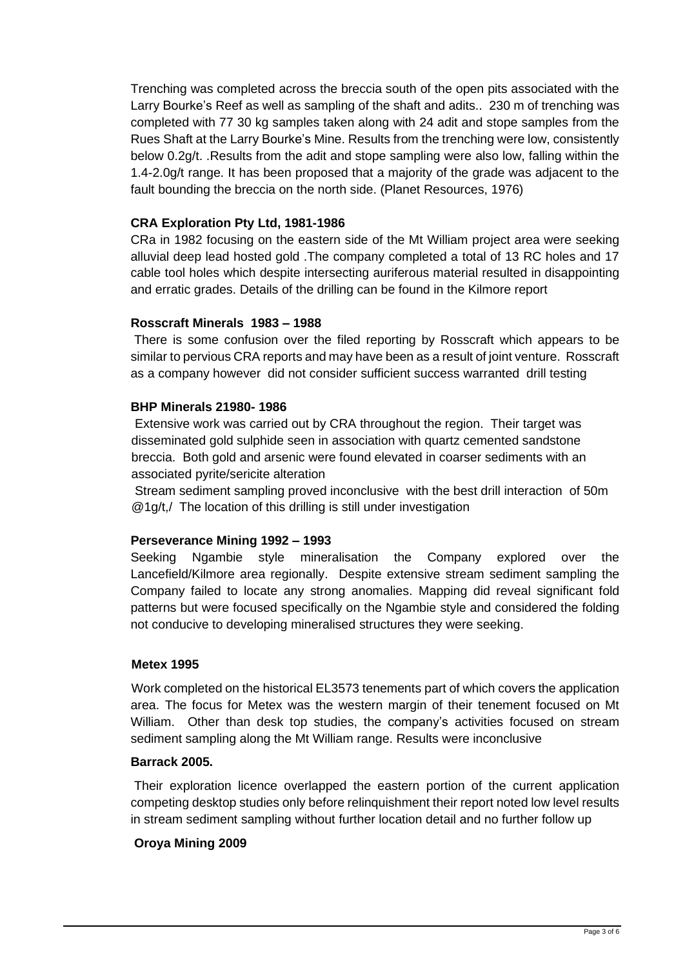Trenching was completed across the breccia south of the open pits associated with the Larry Bourke's Reef as well as sampling of the shaft and adits.. 230 m of trenching was completed with 77 30 kg samples taken along with 24 adit and stope samples from the Rues Shaft at the Larry Bourke's Mine. Results from the trenching were low, consistently below 0.2g/t. .Results from the adit and stope sampling were also low, falling within the 1.4-2.0g/t range. It has been proposed that a majority of the grade was adjacent to the fault bounding the breccia on the north side. (Planet Resources, 1976)

### **CRA Exploration Pty Ltd, 1981-1986**

CRa in 1982 focusing on the eastern side of the Mt William project area were seeking alluvial deep lead hosted gold .The company completed a total of 13 RC holes and 17 cable tool holes which despite intersecting auriferous material resulted in disappointing and erratic grades. Details of the drilling can be found in the Kilmore report

### **Rosscraft Minerals 1983 – 1988**

There is some confusion over the filed reporting by Rosscraft which appears to be similar to pervious CRA reports and may have been as a result of joint venture. Rosscraft as a company however did not consider sufficient success warranted drill testing

#### **BHP Minerals 21980- 1986**

Extensive work was carried out by CRA throughout the region. Their target was disseminated gold sulphide seen in association with quartz cemented sandstone breccia. Both gold and arsenic were found elevated in coarser sediments with an associated pyrite/sericite alteration

Stream sediment sampling proved inconclusive with the best drill interaction of 50m @1g/t,/ The location of this drilling is still under investigation

### **Perseverance Mining 1992 – 1993**

Seeking Ngambie style mineralisation the Company explored over the Lancefield/Kilmore area regionally. Despite extensive stream sediment sampling the Company failed to locate any strong anomalies. Mapping did reveal significant fold patterns but were focused specifically on the Ngambie style and considered the folding not conducive to developing mineralised structures they were seeking.

#### **Metex 1995**

Work completed on the historical EL3573 tenements part of which covers the application area. The focus for Metex was the western margin of their tenement focused on Mt William. Other than desk top studies, the company's activities focused on stream sediment sampling along the Mt William range. Results were inconclusive

#### **Barrack 2005.**

Their exploration licence overlapped the eastern portion of the current application competing desktop studies only before relinquishment their report noted low level results in stream sediment sampling without further location detail and no further follow up

### **Oroya Mining 2009**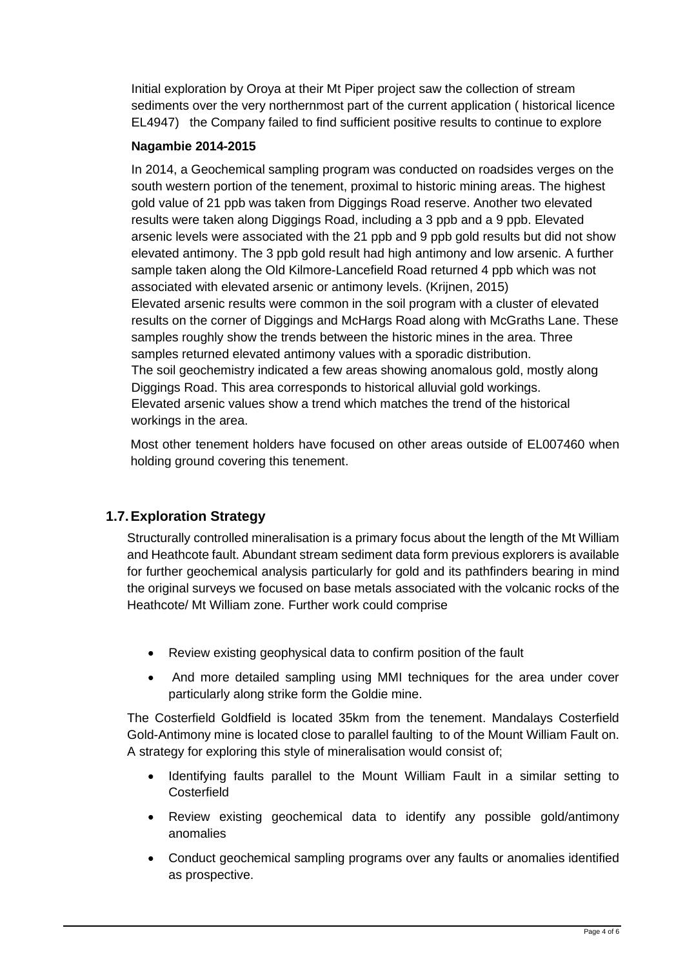Initial exploration by Oroya at their Mt Piper project saw the collection of stream sediments over the very northernmost part of the current application ( historical licence EL4947) the Company failed to find sufficient positive results to continue to explore

### **Nagambie 2014-2015**

In 2014, a Geochemical sampling program was conducted on roadsides verges on the south western portion of the tenement, proximal to historic mining areas. The highest gold value of 21 ppb was taken from Diggings Road reserve. Another two elevated results were taken along Diggings Road, including a 3 ppb and a 9 ppb. Elevated arsenic levels were associated with the 21 ppb and 9 ppb gold results but did not show elevated antimony. The 3 ppb gold result had high antimony and low arsenic. A further sample taken along the Old Kilmore-Lancefield Road returned 4 ppb which was not associated with elevated arsenic or antimony levels. (Krijnen, 2015) Elevated arsenic results were common in the soil program with a cluster of elevated results on the corner of Diggings and McHargs Road along with McGraths Lane. These samples roughly show the trends between the historic mines in the area. Three samples returned elevated antimony values with a sporadic distribution. The soil geochemistry indicated a few areas showing anomalous gold, mostly along Diggings Road. This area corresponds to historical alluvial gold workings. Elevated arsenic values show a trend which matches the trend of the historical workings in the area.

Most other tenement holders have focused on other areas outside of EL007460 when holding ground covering this tenement.

# **1.7.Exploration Strategy**

Structurally controlled mineralisation is a primary focus about the length of the Mt William and Heathcote fault. Abundant stream sediment data form previous explorers is available for further geochemical analysis particularly for gold and its pathfinders bearing in mind the original surveys we focused on base metals associated with the volcanic rocks of the Heathcote/ Mt William zone. Further work could comprise

- Review existing geophysical data to confirm position of the fault
- And more detailed sampling using MMI techniques for the area under cover particularly along strike form the Goldie mine.

The Costerfield Goldfield is located 35km from the tenement. Mandalays Costerfield Gold-Antimony mine is located close to parallel faulting to of the Mount William Fault on. A strategy for exploring this style of mineralisation would consist of;

- Identifying faults parallel to the Mount William Fault in a similar setting to **Costerfield**
- Review existing geochemical data to identify any possible gold/antimony anomalies
- Conduct geochemical sampling programs over any faults or anomalies identified as prospective.